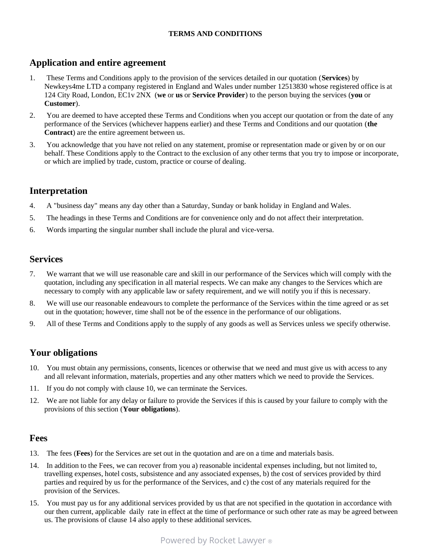#### TERMS AND CONDITIONS

## Application and entire agreement

- 1. These Terms and Conditions apply to the provision of the services detailed in our quotation (Services) by Newkeys4me LTD a company registered in England and Wales under number 12513830 whose registered office is at 124 City Road, London, EC1v 2NX (we or us or Service Provider) to the person buying the services (you or Customer).
- 2. You are deemed to have accepted these Terms and Conditions when you accept our quotation or from the date of any performance of the Services (whichever happens earlier) and these Terms and Conditions and our quotation (the Contract) are the entire agreement between us.
- 3. You acknowledge that you have not relied on any statement, promise or representation made or given by or on our behalf. These Conditions apply to the Contract to the exclusion of any other terms that you try to impose or incorporate, or which are implied by trade, custom, practice or course of dealing.

# Interpretation

- 4. A "business day" means any day other than a Saturday, Sunday or bank holiday in England and Wales.
- 5. The headings in these Terms and Conditions are for convenience only and do not affect their interpretation.
- 6. Words imparting the singular number shall include the plural and vice-versa.

### Services

- 7. We warrant that we will use reasonable care and skill in our performance of the Services which will comply with the quotation, including any specification in all material respects. We can make any changes to the Services which are necessary to comply with any applicable law or safety requirement, and we will notify you if this is necessary.
- 8. We will use our reasonable endeavours to complete the performance of the Services within the time agreed or as set out in the quotation; however, time shall not be of the essence in the performance of our obligations.
- 9. All of these Terms and Conditions apply to the supply of any goods as well as Services unless we specify otherwise.

## Your obligations

- 10. You must obtain any permissions, consents, licences or otherwise that we need and must give us with access to any and all relevant information, materials, properties and any other matters which we need to provide the Services.
- 11. If you do not comply with clause 10, we can terminate the Services.
- 12. We are not liable for any delay or failure to provide the Services if this is caused by your failure to comply with the provisions of this section (Your obligations).

#### Fees

- 13. The fees (Fees) for the Services are set out in the quotation and are on a time and materials basis.
- 14. In addition to the Fees, we can recover from you a) reasonable incidental expenses including, but not limited to, travelling expenses, hotel costs, subsistence and any associated expenses, b) the cost of services provided by third parties and required by us for the performance of the Services, and c) the cost of any materials required for the provision of the Services.
- 15. You must pay us for any additional services provided by us that are not specified in the quotation in accordance with our then current, applicable daily rate in effect at the time of performance or such other rate as may be agreed between us. The provisions of clause 14 also apply to these additional services.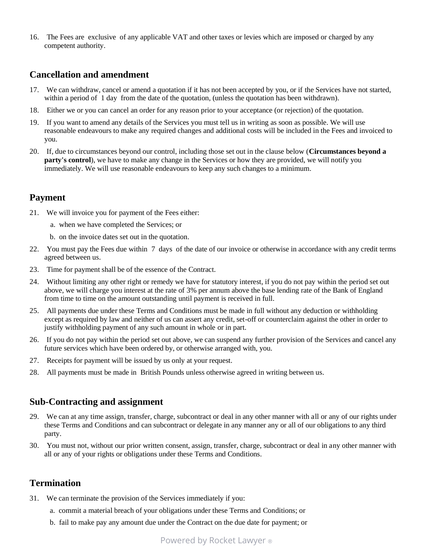16. The Fees are exclusive of any applicable VAT and other taxes or levies which are imposed or charged by any competent authority.

#### Cancellation and amendment

- 17. We can withdraw, cancel or amend a quotation if it has not been accepted by you, or if the Services have not started, within a period of 1 day from the date of the quotation, (unless the quotation has been withdrawn).
- 18. Either we or you can cancel an order for any reason prior to your acceptance (or rejection) of the quotation.
- 19. If you want to amend any details of the Services you must tell us in writing as soon as possible. We will use reasonable endeavours to make any required changes and additional costs will be included in the Fees and invoiced to you.
- 20. If, due to circumstances beyond our control, including those set out in the clause below (Circumstances beyond a **party's control)**, we have to make any change in the Services or how they are provided, we will notify you immediately. We will use reasonable endeavours to keep any such changes to a minimum.

#### Payment

- 21. We will invoice you for payment of the Fees either:
	- a. when we have completed the Services; or
	- b. on the invoice dates set out in the quotation.
- 22. You must pay the Fees due within 7 days of the date of our invoice or otherwise in accordance with any credit terms agreed between us.
- 23. Time for payment shall be of the essence of the Contract.
- 24. Without limiting any other right or remedy we have for statutory interest, if you do not pay within the period set out above, we will charge you interest at the rate of 3% per annum above the base lending rate of the Bank of England from time to time on the amount outstanding until payment is received in full.
- 25. All payments due under these Terms and Conditions must be made in full without any deduction or withholding except as required by law and neither of us can assert any credit, set-off or counterclaim against the other in order to justify withholding payment of any such amount in whole or in part.
- 26. If you do not pay within the period set out above, we can suspend any further provision of the Services and cancel any future services which have been ordered by, or otherwise arranged with, you.
- 27. Receipts for payment will be issued by us only at your request.
- 28. All payments must be made in British Pounds unless otherwise agreed in writing between us.

#### Sub-Contracting and assignment

- 29. We can at any time assign, transfer, charge, subcontract or deal in any other manner with all or any of our rights under these Terms and Conditions and can subcontract or delegate in any manner any or all of our obligations to any third party.
- 30. You must not, without our prior written consent, assign, transfer, charge, subcontract or deal in any other manner with all or any of your rights or obligations under these Terms and Conditions.

#### Termination

- 31. We can terminate the provision of the Services immediately if you:
	- a. commit a material breach of your obligations under these Terms and Conditions; or
	- b. fail to make pay any amount due under the Contract on the due date for payment; or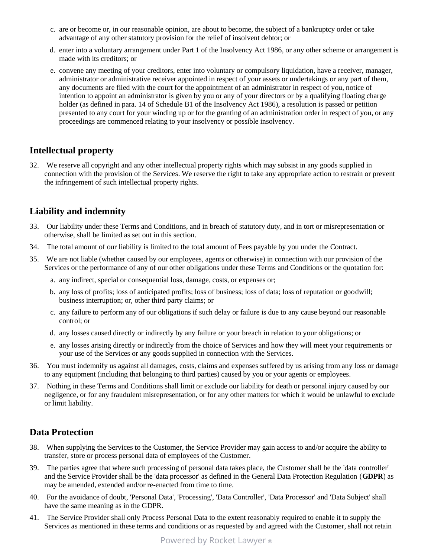- c. are or become or, in our reasonable opinion, are about to become, the subject of a bankruptcy order or take advantage of any other statutory provision for the relief of insolvent debtor; or
- d. enter into a voluntary arrangement under Part 1 of the Insolvency Act 1986, or any other scheme or arrangement is made with its creditors; or
- e. convene any meeting of your creditors, enter into voluntary or compulsory liquidation, have a receiver, manager, administrator or administrative receiver appointed in respect of your assets or undertakings or any part of them, any documents are filed with the court for the appointment of an administrator in respect of you, notice of intention to appoint an administrator is given by you or any of your directors or by a qualifying floating charge holder (as defined in para. 14 of Schedule B1 of the Insolvency Act 1986), a resolution is passed or petition presented to any court for your winding up or for the granting of an administration order in respect of you, or any proceedings are commenced relating to your insolvency or possible insolvency.

# Intellectual property

32. We reserve all copyright and any other intellectual property rights which may subsist in any goods supplied in connection with the provision of the Services. We reserve the right to take any appropriate action to restrain or prevent the infringement of such intellectual property rights.

# Liability and indemnity

- 33. Our liability under these Terms and Conditions, and in breach of statutory duty, and in tort or misrepresentation or otherwise, shall be limited as set out in this section.
- 34. The total amount of our liability is limited to the total amount of Fees payable by you under the Contract.
- 35. We are not liable (whether caused by our employees, agents or otherwise) in connection with our provision of the Services or the performance of any of our other obligations under these Terms and Conditions or the quotation for:
	- a. any indirect, special or consequential loss, damage, costs, or expenses or;
	- b. any loss of profits; loss of anticipated profits; loss of business; loss of data; loss of reputation or goodwill; business interruption; or, other third party claims; or
	- c. any failure to perform any of our obligations if such delay or failure is due to any cause beyond our reasonable control; or
	- d. any losses caused directly or indirectly by any failure or your breach in relation to your obligations; or
	- e. any losses arising directly or indirectly from the choice of Services and how they will meet your requirements or your use of the Services or any goods supplied in connection with the Services.
- 36. You must indemnify us against all damages, costs, claims and expenses suffered by us arising from any loss or damage to any equipment (including that belonging to third parties) caused by you or your agents or employees.
- 37. Nothing in these Terms and Conditions shall limit or exclude our liability for death or personal injury caused by our negligence, or for any fraudulent misrepresentation, or for any other matters for which it would be unlawful to exclude or limit liability.

# Data Protection

- 38. When supplying the Services to the Customer, the Service Provider may gain access to and/or acquire the ability to transfer, store or process personal data of employees of the Customer.
- 39. The parties agree that where such processing of personal data takes place, the Customer shall be the 'data controller' and the Service Provider shall be the 'data processor' as defined in the General Data Protection Regulation (GDPR) as may be amended, extended and/or re-enacted from time to time.
- 40. For the avoidance of doubt, 'Personal Data', 'Processing', 'Data Controller', 'Data Processor' and 'Data Subject' shall have the same meaning as in the GDPR.
- 41. The Service Provider shall only Process Personal Data to the extent reasonably required to enable it to supply the Services as mentioned in these terms and conditions or as requested by and agreed with the Customer, shall not retain